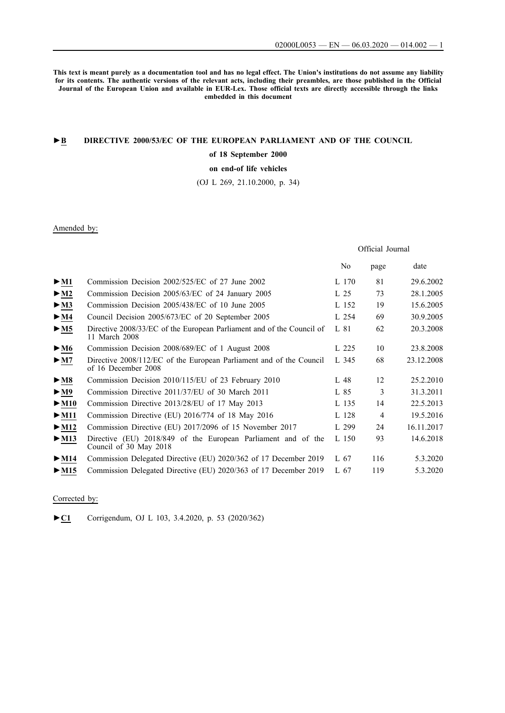**This text is meant purely as a documentation tool and has no legal effect. The Union's institutions do not assume any liability for its contents. The authentic versions of the relevant acts, including their preambles, are those published in the Official Journal of the European Union and available in EUR-Lex. Those official texts are directly accessible through the links embedded in this document**

## **►B [DIRECTIVE 2000/53/EC OF THE EUROPEAN PARLIAMENT AND OF THE COUNCIL](http://data.europa.eu/eli/dir/2000/53/oj/eng)**

### **[of 18 September 2000](http://data.europa.eu/eli/dir/2000/53/oj/eng)**

**[on end-of life vehicles](http://data.europa.eu/eli/dir/2000/53/oj/eng)**

[\(OJ L 269, 21.10.2000, p. 34\)](http://data.europa.eu/eli/dir/2000/53/oj/eng)

## Amended by:

# Official Journal

|                                 |                                                                                            | No    | page           | date       |
|---------------------------------|--------------------------------------------------------------------------------------------|-------|----------------|------------|
| $>$ M1                          | Commission Decision 2002/525/EC of 27 June 2002                                            | L 170 | 81             | 29.6.2002  |
| $\blacktriangleright$ M2        | Commission Decision 2005/63/EC of 24 January 2005                                          | L 25  | 73             | 28.1.2005  |
| $>$ M3                          | Commission Decision 2005/438/EC of 10 June 2005                                            | L 152 | 19             | 15.6.2005  |
| $>$ M4                          | Council Decision 2005/673/EC of 20 September 2005                                          | L 254 | 69             | 30.9.2005  |
| $>$ M5                          | Directive 2008/33/EC of the European Parliament and of the Council of<br>11 March 2008     | L 81  | 62             | 20.3.2008  |
| $\blacktriangleright$ M6        | Commission Decision 2008/689/EC of 1 August 2008                                           | L 225 | 10             | 23.8.2008  |
| > M7                            | Directive 2008/112/EC of the European Parliament and of the Council<br>of 16 December 2008 | L 345 | 68             | 23.12.2008 |
| $\blacktriangleright$ <u>M8</u> | Commission Decision 2010/115/EU of 23 February 2010                                        | L 48  | 12             | 25.2.2010  |
| $\blacktriangleright$ M9        | Commission Directive 2011/37/EU of 30 March 2011                                           | L 85  | 3              | 31.3.2011  |
| $\blacktriangleright$ M10       | Commission Directive 2013/28/EU of 17 May 2013                                             | L 135 | 14             | 22.5.2013  |
| $\blacktriangleright$ M11       | Commission Directive (EU) 2016/774 of 18 May 2016                                          | L 128 | $\overline{4}$ | 19.5.2016  |
| $>$ M12                         | Commission Directive (EU) 2017/2096 of 15 November 2017                                    | L 299 | 24             | 16.11.2017 |
| $>$ M13                         | Directive (EU) 2018/849 of the European Parliament and of the<br>Council of 30 May 2018    | L 150 | 93             | 14.6.2018  |
| $\blacktriangleright$ M14       | Commission Delegated Directive (EU) 2020/362 of 17 December 2019                           | L 67  | 116            | 5.3.2020   |
| $\triangleright$ M15            | Commission Delegated Directive (EU) 2020/363 of 17 December 2019                           | L 67  | 119            | 5.3.2020   |

### Corrected by:

[►](http://data.europa.eu/eli/dir_del/2020/362/corrigendum/2020-04-03/oj/eng)**[C1](http://data.europa.eu/eli/dir_del/2020/362/corrigendum/2020-04-03/oj/eng)** [Corrigendum, OJ L 103, 3.4.2020, p. 53 \(2020/362\)](http://data.europa.eu/eli/dir_del/2020/362/corrigendum/2020-04-03/oj/eng)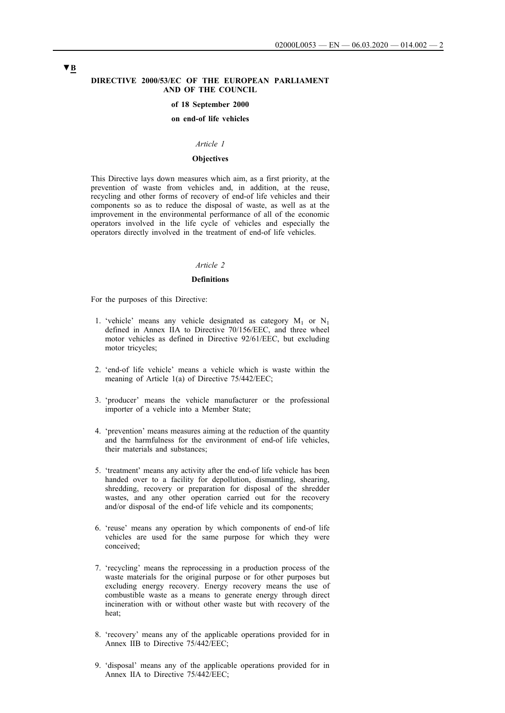#### **DIRECTIVE 2000/53/EC OF THE EUROPEAN PARLIAMENT AND OF THE COUNCIL**

#### **of 18 September 2000**

#### **on end-of life vehicles**

### *Article 1*

#### **Objectives**

This Directive lays down measures which aim, as a first priority, at the prevention of waste from vehicles and, in addition, at the reuse, recycling and other forms of recovery of end-of life vehicles and their components so as to reduce the disposal of waste, as well as at the improvement in the environmental performance of all of the economic operators involved in the life cycle of vehicles and especially the operators directly involved in the treatment of end-of life vehicles.

### *Article 2*

#### **Definitions**

For the purposes of this Directive:

- 1. 'vehicle' means any vehicle designated as category  $M_1$  or  $N_1$ defined in Annex IIA to Directive 70/156/EEC, and three wheel motor vehicles as defined in Directive 92/61/EEC, but excluding motor tricycles;
- 2. 'end-of life vehicle' means a vehicle which is waste within the meaning of Article 1(a) of Directive 75/442/EEC;
- 3. 'producer' means the vehicle manufacturer or the professional importer of a vehicle into a Member State;
- 4. 'prevention' means measures aiming at the reduction of the quantity and the harmfulness for the environment of end-of life vehicles, their materials and substances;
- 5. 'treatment' means any activity after the end-of life vehicle has been handed over to a facility for depollution, dismantling, shearing, shredding, recovery or preparation for disposal of the shredder wastes, and any other operation carried out for the recovery and/or disposal of the end-of life vehicle and its components;
- 6. 'reuse' means any operation by which components of end-of life vehicles are used for the same purpose for which they were conceived;
- 7. 'recycling' means the reprocessing in a production process of the waste materials for the original purpose or for other purposes but excluding energy recovery. Energy recovery means the use of combustible waste as a means to generate energy through direct incineration with or without other waste but with recovery of the heat;
- 8. 'recovery' means any of the applicable operations provided for in Annex IIB to Directive 75/442/EEC;
- 9. 'disposal' means any of the applicable operations provided for in Annex IIA to Directive 75/442/EEC;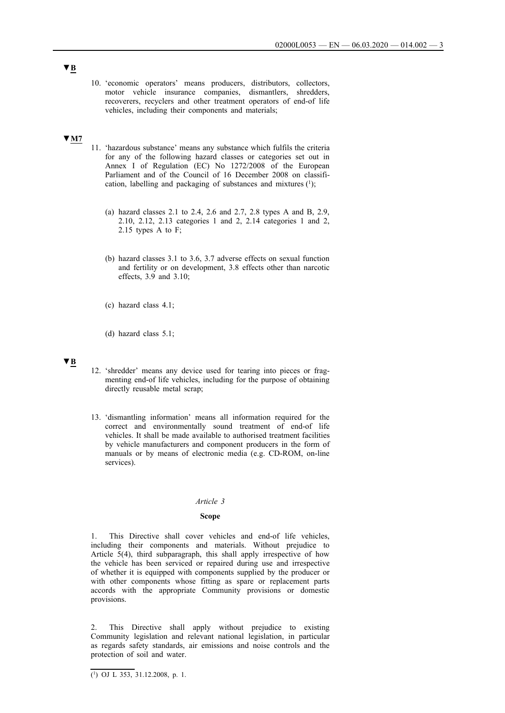10. 'economic operators' means producers, distributors, collectors, motor vehicle insurance companies, dismantlers, shredders, recoverers, recyclers and other treatment operators of end-of life vehicles, including their components and materials;

## **▼M7**

- 11. 'hazardous substance' means any substance which fulfils the criteria for any of the following hazard classes or categories set out in Annex I of Regulation (EC) No 1272/2008 of the European Parliament and of the Council of 16 December 2008 on classification, labelling and packaging of substances and mixtures  $(1)$ ;
	- (a) hazard classes 2.1 to 2.4, 2.6 and 2.7, 2.8 types A and B, 2.9, 2.10, 2.12, 2.13 categories 1 and 2, 2.14 categories 1 and 2, 2.15 types A to F;
	- (b) hazard classes 3.1 to 3.6, 3.7 adverse effects on sexual function and fertility or on development, 3.8 effects other than narcotic effects, 3.9 and 3.10;
	- (c) hazard class 4.1;
	- (d) hazard class 5.1;

## **▼B**

- 12. 'shredder' means any device used for tearing into pieces or fragmenting end-of life vehicles, including for the purpose of obtaining directly reusable metal scrap;
- 13. 'dismantling information' means all information required for the correct and environmentally sound treatment of end-of life vehicles. It shall be made available to authorised treatment facilities by vehicle manufacturers and component producers in the form of manuals or by means of electronic media (e.g. CD-ROM, on-line services).

#### *Article 3*

#### **Scope**

1. This Directive shall cover vehicles and end-of life vehicles, including their components and materials. Without prejudice to Article 5(4), third subparagraph, this shall apply irrespective of how the vehicle has been serviced or repaired during use and irrespective of whether it is equipped with components supplied by the producer or with other components whose fitting as spare or replacement parts accords with the appropriate Community provisions or domestic provisions.

2. This Directive shall apply without prejudice to existing Community legislation and relevant national legislation, in particular as regards safety standards, air emissions and noise controls and the protection of soil and water.

 $\overline{(^1)}$  OJ L 353, 31.12.2008, p. 1.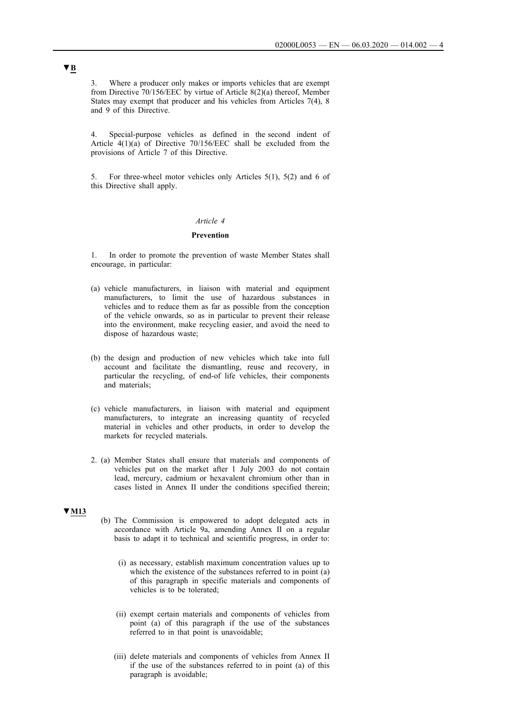3. Where a producer only makes or imports vehicles that are exempt from Directive 70/156/EEC by virtue of Article 8(2)(a) thereof, Member States may exempt that producer and his vehicles from Articles 7(4), 8 and 9 of this Directive.

4. Special-purpose vehicles as defined in the second indent of Article  $4(1)(a)$  of Directive 70/156/EEC shall be excluded from the provisions of Article 7 of this Directive.

5. For three-wheel motor vehicles only Articles 5(1), 5(2) and 6 of this Directive shall apply.

#### *Article 4*

### **Prevention**

1. In order to promote the prevention of waste Member States shall encourage, in particular:

- (a) vehicle manufacturers, in liaison with material and equipment manufacturers, to limit the use of hazardous substances in vehicles and to reduce them as far as possible from the conception of the vehicle onwards, so as in particular to prevent their release into the environment, make recycling easier, and avoid the need to dispose of hazardous waste;
- (b) the design and production of new vehicles which take into full account and facilitate the dismantling, reuse and recovery, in particular the recycling, of end-of life vehicles, their components and materials;
- (c) vehicle manufacturers, in liaison with material and equipment manufacturers, to integrate an increasing quantity of recycled material in vehicles and other products, in order to develop the markets for recycled materials.
- 2. (a) Member States shall ensure that materials and components of vehicles put on the market after 1 July 2003 do not contain lead, mercury, cadmium or hexavalent chromium other than in cases listed in Annex II under the conditions specified therein;

### **▼M13**

- (b) The Commission is empowered to adopt delegated acts in accordance with Article 9a, amending Annex II on a regular basis to adapt it to technical and scientific progress, in order to:
	- (i) as necessary, establish maximum concentration values up to which the existence of the substances referred to in point (a) of this paragraph in specific materials and components of vehicles is to be tolerated;
	- (ii) exempt certain materials and components of vehicles from point (a) of this paragraph if the use of the substances referred to in that point is unavoidable;
	- (iii) delete materials and components of vehicles from Annex II if the use of the substances referred to in point (a) of this paragraph is avoidable;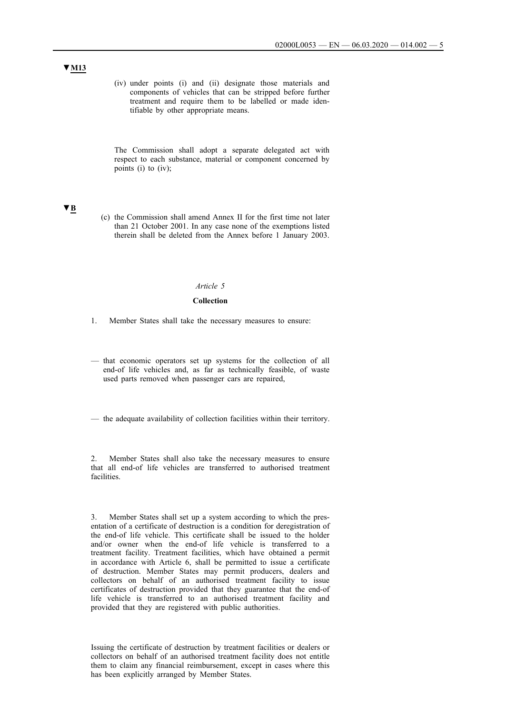(iv) under points (i) and (ii) designate those materials and components of vehicles that can be stripped before further treatment and require them to be labelled or made identifiable by other appropriate means.

The Commission shall adopt a separate delegated act with respect to each substance, material or component concerned by points (i) to (iv);

## **▼B**

(c) the Commission shall amend Annex II for the first time not later than 21 October 2001. In any case none of the exemptions listed therein shall be deleted from the Annex before 1 January 2003.

## *Article 5*

### **Collection**

- 1. Member States shall take the necessary measures to ensure:
- that economic operators set up systems for the collection of all end-of life vehicles and, as far as technically feasible, of waste used parts removed when passenger cars are repaired,

— the adequate availability of collection facilities within their territory.

2. Member States shall also take the necessary measures to ensure that all end-of life vehicles are transferred to authorised treatment **facilities** 

3. Member States shall set up a system according to which the presentation of a certificate of destruction is a condition for deregistration of the end-of life vehicle. This certificate shall be issued to the holder and/or owner when the end-of life vehicle is transferred to a treatment facility. Treatment facilities, which have obtained a permit in accordance with Article 6, shall be permitted to issue a certificate of destruction. Member States may permit producers, dealers and collectors on behalf of an authorised treatment facility to issue certificates of destruction provided that they guarantee that the end-of life vehicle is transferred to an authorised treatment facility and provided that they are registered with public authorities.

Issuing the certificate of destruction by treatment facilities or dealers or collectors on behalf of an authorised treatment facility does not entitle them to claim any financial reimbursement, except in cases where this has been explicitly arranged by Member States.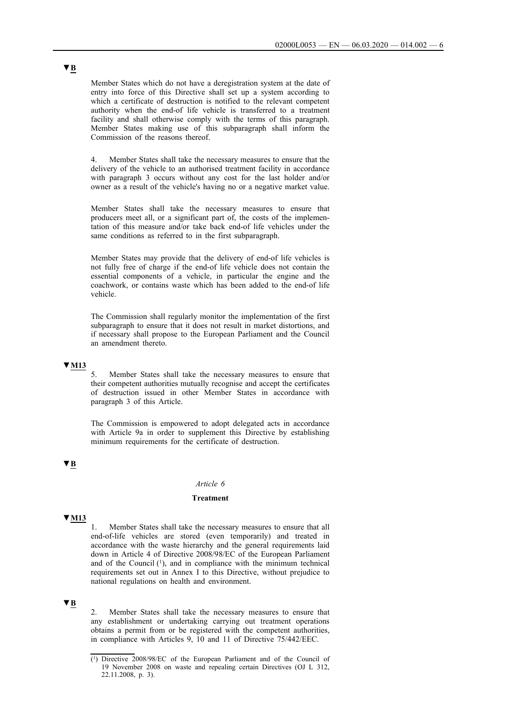Member States which do not have a deregistration system at the date of entry into force of this Directive shall set up a system according to which a certificate of destruction is notified to the relevant competent authority when the end-of life vehicle is transferred to a treatment facility and shall otherwise comply with the terms of this paragraph. Member States making use of this subparagraph shall inform the Commission of the reasons thereof.

4. Member States shall take the necessary measures to ensure that the delivery of the vehicle to an authorised treatment facility in accordance with paragraph 3 occurs without any cost for the last holder and/or owner as a result of the vehicle's having no or a negative market value.

Member States shall take the necessary measures to ensure that producers meet all, or a significant part of, the costs of the implementation of this measure and/or take back end-of life vehicles under the same conditions as referred to in the first subparagraph.

Member States may provide that the delivery of end-of life vehicles is not fully free of charge if the end-of life vehicle does not contain the essential components of a vehicle, in particular the engine and the coachwork, or contains waste which has been added to the end-of life vehicle.

The Commission shall regularly monitor the implementation of the first subparagraph to ensure that it does not result in market distortions, and if necessary shall propose to the European Parliament and the Council an amendment thereto.

### **▼M13**

5. Member States shall take the necessary measures to ensure that their competent authorities mutually recognise and accept the certificates of destruction issued in other Member States in accordance with paragraph 3 of this Article.

The Commission is empowered to adopt delegated acts in accordance with Article 9a in order to supplement this Directive by establishing minimum requirements for the certificate of destruction.

## **▼B**

#### *Article 6*

#### **Treatment**

## **▼M13**

1. Member States shall take the necessary measures to ensure that all end-of-life vehicles are stored (even temporarily) and treated in accordance with the waste hierarchy and the general requirements laid down in Article 4 of Directive 2008/98/EC of the European Parliament and of the Council  $(1)$ , and in compliance with the minimum technical requirements set out in Annex I to this Directive, without prejudice to national regulations on health and environment.

### **▼B**

2. Member States shall take the necessary measures to ensure that any establishment or undertaking carrying out treatment operations obtains a permit from or be registered with the competent authorities, in compliance with Articles 9, 10 and 11 of Directive 75/442/EEC.

<sup>(1)</sup> Directive 2008/98/EC of the European Parliament and of the Council of 19 November 2008 on waste and repealing certain Directives (OJ L 312, 22.11.2008, p. 3).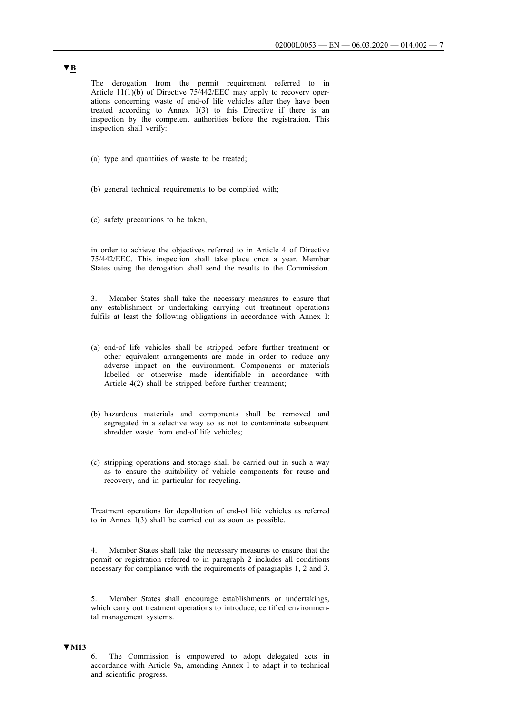The derogation from the permit requirement referred to in Article 11(1)(b) of Directive 75/442/EEC may apply to recovery operations concerning waste of end-of life vehicles after they have been treated according to Annex 1(3) to this Directive if there is an inspection by the competent authorities before the registration. This inspection shall verify:

- (a) type and quantities of waste to be treated;
- (b) general technical requirements to be complied with;
- (c) safety precautions to be taken,

in order to achieve the objectives referred to in Article 4 of Directive 75/442/EEC. This inspection shall take place once a year. Member States using the derogation shall send the results to the Commission.

3. Member States shall take the necessary measures to ensure that any establishment or undertaking carrying out treatment operations fulfils at least the following obligations in accordance with Annex I:

- (a) end-of life vehicles shall be stripped before further treatment or other equivalent arrangements are made in order to reduce any adverse impact on the environment. Components or materials labelled or otherwise made identifiable in accordance with Article 4(2) shall be stripped before further treatment;
- (b) hazardous materials and components shall be removed and segregated in a selective way so as not to contaminate subsequent shredder waste from end-of life vehicles;
- (c) stripping operations and storage shall be carried out in such a way as to ensure the suitability of vehicle components for reuse and recovery, and in particular for recycling.

Treatment operations for depollution of end-of life vehicles as referred to in Annex I(3) shall be carried out as soon as possible.

4. Member States shall take the necessary measures to ensure that the permit or registration referred to in paragraph 2 includes all conditions necessary for compliance with the requirements of paragraphs 1, 2 and 3.

5. Member States shall encourage establishments or undertakings, which carry out treatment operations to introduce, certified environmental management systems.

## **▼M13**

6. The Commission is empowered to adopt delegated acts in accordance with Article 9a, amending Annex I to adapt it to technical and scientific progress.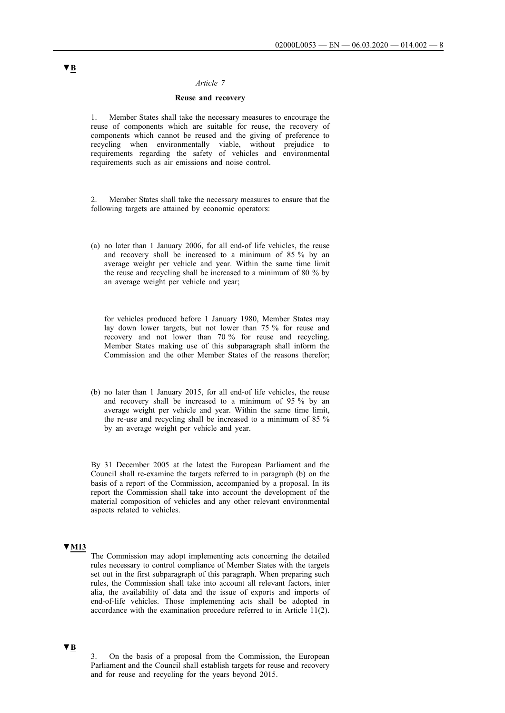#### *Article 7*

### **Reuse and recovery**

1. Member States shall take the necessary measures to encourage the reuse of components which are suitable for reuse, the recovery of components which cannot be reused and the giving of preference to recycling when environmentally viable, without prejudice to requirements regarding the safety of vehicles and environmental requirements such as air emissions and noise control.

2. Member States shall take the necessary measures to ensure that the following targets are attained by economic operators:

(a) no later than 1 January 2006, for all end-of life vehicles, the reuse and recovery shall be increased to a minimum of 85 % by an average weight per vehicle and year. Within the same time limit the reuse and recycling shall be increased to a minimum of 80 % by an average weight per vehicle and year;

for vehicles produced before 1 January 1980, Member States may lay down lower targets, but not lower than 75 % for reuse and recovery and not lower than 70 % for reuse and recycling. Member States making use of this subparagraph shall inform the Commission and the other Member States of the reasons therefor;

(b) no later than 1 January 2015, for all end-of life vehicles, the reuse and recovery shall be increased to a minimum of 95 % by an average weight per vehicle and year. Within the same time limit, the re-use and recycling shall be increased to a minimum of 85 % by an average weight per vehicle and year.

By 31 December 2005 at the latest the European Parliament and the Council shall re-examine the targets referred to in paragraph (b) on the basis of a report of the Commission, accompanied by a proposal. In its report the Commission shall take into account the development of the material composition of vehicles and any other relevant environmental aspects related to vehicles.

## **▼M13**

The Commission may adopt implementing acts concerning the detailed rules necessary to control compliance of Member States with the targets set out in the first subparagraph of this paragraph. When preparing such rules, the Commission shall take into account all relevant factors, inter alia, the availability of data and the issue of exports and imports of end-of-life vehicles. Those implementing acts shall be adopted in accordance with the examination procedure referred to in Article 11(2).

#### **▼B**

3. On the basis of a proposal from the Commission, the European Parliament and the Council shall establish targets for reuse and recovery and for reuse and recycling for the years beyond 2015.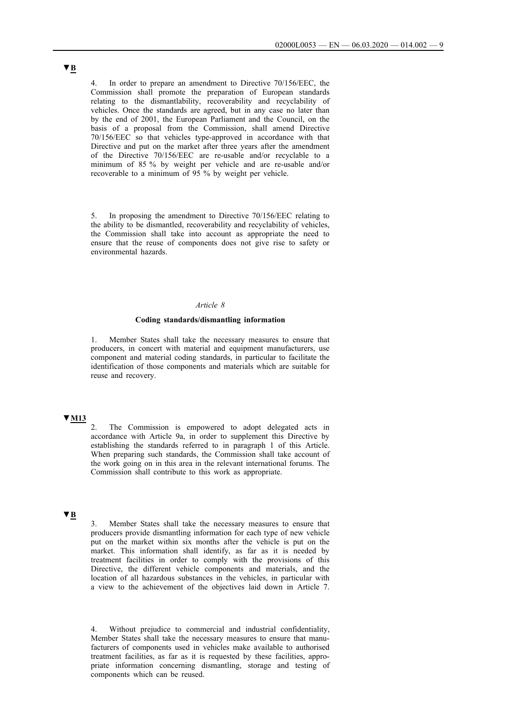In order to prepare an amendment to Directive 70/156/EEC, the Commission shall promote the preparation of European standards relating to the dismantlability, recoverability and recyclability of vehicles. Once the standards are agreed, but in any case no later than by the end of 2001, the European Parliament and the Council, on the basis of a proposal from the Commission, shall amend Directive 70/156/EEC so that vehicles type-approved in accordance with that Directive and put on the market after three years after the amendment of the Directive 70/156/EEC are re-usable and/or recyclable to a minimum of 85 % by weight per vehicle and are re-usable and/or recoverable to a minimum of 95 % by weight per vehicle.

5. In proposing the amendment to Directive 70/156/EEC relating to the ability to be dismantled, recoverability and recyclability of vehicles, the Commission shall take into account as appropriate the need to ensure that the reuse of components does not give rise to safety or environmental hazards.

### *Article 8*

#### **Coding standards/dismantling information**

1. Member States shall take the necessary measures to ensure that producers, in concert with material and equipment manufacturers, use component and material coding standards, in particular to facilitate the identification of those components and materials which are suitable for reuse and recovery.

## **▼M13**

2. The Commission is empowered to adopt delegated acts in accordance with Article 9a, in order to supplement this Directive by establishing the standards referred to in paragraph 1 of this Article. When preparing such standards, the Commission shall take account of the work going on in this area in the relevant international forums. The Commission shall contribute to this work as appropriate.

## **▼B**

3. Member States shall take the necessary measures to ensure that producers provide dismantling information for each type of new vehicle put on the market within six months after the vehicle is put on the market. This information shall identify, as far as it is needed by treatment facilities in order to comply with the provisions of this Directive, the different vehicle components and materials, and the location of all hazardous substances in the vehicles, in particular with a view to the achievement of the objectives laid down in Article 7.

4. Without prejudice to commercial and industrial confidentiality, Member States shall take the necessary measures to ensure that manufacturers of components used in vehicles make available to authorised treatment facilities, as far as it is requested by these facilities, appropriate information concerning dismantling, storage and testing of components which can be reused.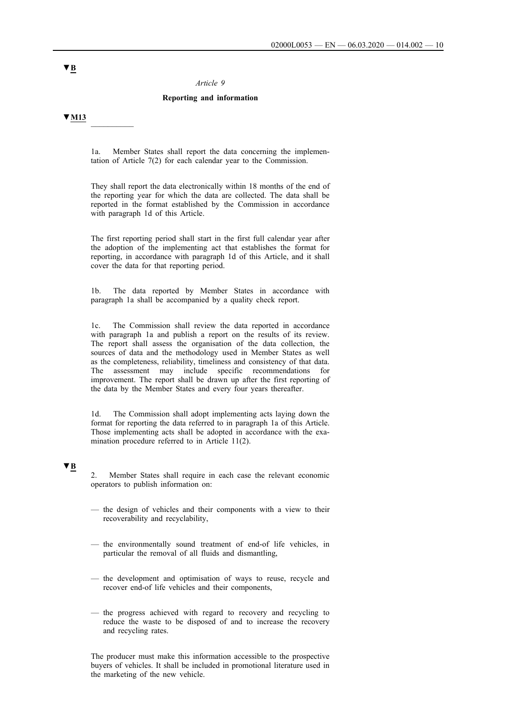#### *Article 9*

### **Reporting and information**

**▼M13** \_\_\_\_\_\_\_\_\_\_

1a. Member States shall report the data concerning the implementation of Article 7(2) for each calendar year to the Commission.

They shall report the data electronically within 18 months of the end of the reporting year for which the data are collected. The data shall be reported in the format established by the Commission in accordance with paragraph 1d of this Article.

The first reporting period shall start in the first full calendar year after the adoption of the implementing act that establishes the format for reporting, in accordance with paragraph 1d of this Article, and it shall cover the data for that reporting period.

1b. The data reported by Member States in accordance with paragraph 1a shall be accompanied by a quality check report.

1c. The Commission shall review the data reported in accordance with paragraph 1a and publish a report on the results of its review. The report shall assess the organisation of the data collection, the sources of data and the methodology used in Member States as well as the completeness, reliability, timeliness and consistency of that data. The assessment may include specific recommendations for improvement. The report shall be drawn up after the first reporting of the data by the Member States and every four years thereafter.

1d. The Commission shall adopt implementing acts laying down the format for reporting the data referred to in paragraph 1a of this Article. Those implementing acts shall be adopted in accordance with the examination procedure referred to in Article 11(2).

## **▼B**

2. Member States shall require in each case the relevant economic operators to publish information on:

- the design of vehicles and their components with a view to their recoverability and recyclability,
- the environmentally sound treatment of end-of life vehicles, in particular the removal of all fluids and dismantling,
- the development and optimisation of ways to reuse, recycle and recover end-of life vehicles and their components,
- the progress achieved with regard to recovery and recycling to reduce the waste to be disposed of and to increase the recovery and recycling rates.

The producer must make this information accessible to the prospective buyers of vehicles. It shall be included in promotional literature used in the marketing of the new vehicle.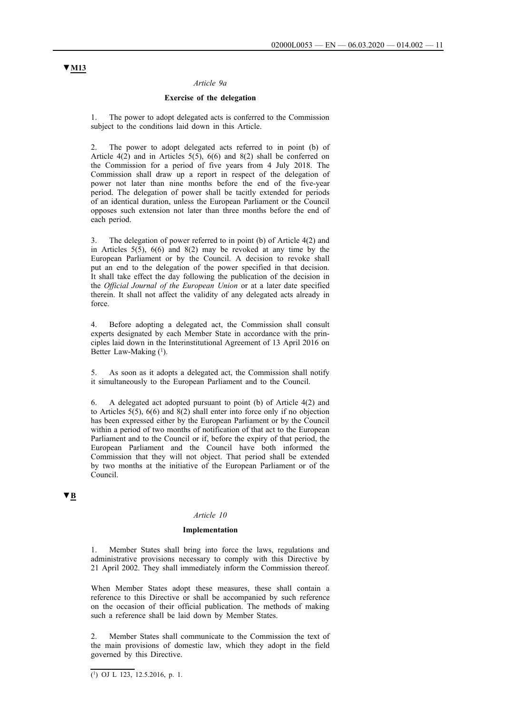### *Article 9a*

#### **Exercise of the delegation**

The power to adopt delegated acts is conferred to the Commission subject to the conditions laid down in this Article.

2. The power to adopt delegated acts referred to in point (b) of Article 4(2) and in Articles 5(5), 6(6) and 8(2) shall be conferred on the Commission for a period of five years from 4 July 2018. The Commission shall draw up a report in respect of the delegation of power not later than nine months before the end of the five-year period. The delegation of power shall be tacitly extended for periods of an identical duration, unless the European Parliament or the Council opposes such extension not later than three months before the end of each period.

3. The delegation of power referred to in point (b) of Article 4(2) and in Articles 5(5), 6(6) and 8(2) may be revoked at any time by the European Parliament or by the Council. A decision to revoke shall put an end to the delegation of the power specified in that decision. It shall take effect the day following the publication of the decision in the *Official Journal of the European Union* or at a later date specified therein. It shall not affect the validity of any delegated acts already in force.

4. Before adopting a delegated act, the Commission shall consult experts designated by each Member State in accordance with the principles laid down in the Interinstitutional Agreement of 13 April 2016 on Better Law-Making  $(1)$ .

As soon as it adopts a delegated act, the Commission shall notify it simultaneously to the European Parliament and to the Council.

6. A delegated act adopted pursuant to point (b) of Article 4(2) and to Articles  $5(5)$ ,  $6(6)$  and  $8(2)$  shall enter into force only if no objection has been expressed either by the European Parliament or by the Council within a period of two months of notification of that act to the European Parliament and to the Council or if, before the expiry of that period, the European Parliament and the Council have both informed the Commission that they will not object. That period shall be extended by two months at the initiative of the European Parliament or of the Council.

## **▼B**

#### *Article 10*

#### **Implementation**

Member States shall bring into force the laws, regulations and administrative provisions necessary to comply with this Directive by 21 April 2002. They shall immediately inform the Commission thereof.

When Member States adopt these measures, these shall contain a reference to this Directive or shall be accompanied by such reference on the occasion of their official publication. The methods of making such a reference shall be laid down by Member States.

2. Member States shall communicate to the Commission the text of the main provisions of domestic law, which they adopt in the field governed by this Directive.

 $\overline{(^1)}$  OJ L 123, 12.5.2016, p. 1.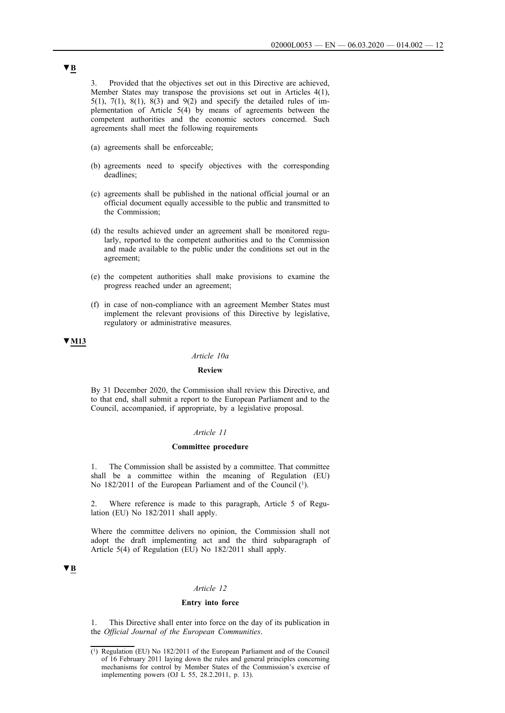3. Provided that the objectives set out in this Directive are achieved, Member States may transpose the provisions set out in Articles 4(1), 5(1), 7(1), 8(1), 8(3) and 9(2) and specify the detailed rules of implementation of Article 5(4) by means of agreements between the competent authorities and the economic sectors concerned. Such agreements shall meet the following requirements

- (a) agreements shall be enforceable;
- (b) agreements need to specify objectives with the corresponding deadlines;
- (c) agreements shall be published in the national official journal or an official document equally accessible to the public and transmitted to the Commission;
- (d) the results achieved under an agreement shall be monitored regularly, reported to the competent authorities and to the Commission and made available to the public under the conditions set out in the agreement;
- (e) the competent authorities shall make provisions to examine the progress reached under an agreement;
- (f) in case of non-compliance with an agreement Member States must implement the relevant provisions of this Directive by legislative, regulatory or administrative measures.

### **▼M13**

#### *Article 10a*

### **Review**

By 31 December 2020, the Commission shall review this Directive, and to that end, shall submit a report to the European Parliament and to the Council, accompanied, if appropriate, by a legislative proposal.

#### *Article 11*

#### **Committee procedure**

1. The Commission shall be assisted by a committee. That committee shall be a committee within the meaning of Regulation (EU) No 182/2011 of the European Parliament and of the Council (1).

2. Where reference is made to this paragraph, Article 5 of Regulation (EU) No 182/2011 shall apply.

Where the committee delivers no opinion, the Commission shall not adopt the draft implementing act and the third subparagraph of Article 5(4) of Regulation (EU) No 182/2011 shall apply.

## **▼B**

## *Article 12*

#### **Entry into force**

1. This Directive shall enter into force on the day of its publication in the *Official Journal of the European Communities*.

<sup>(1)</sup> Regulation (EU) No 182/2011 of the European Parliament and of the Council of 16 February 2011 laying down the rules and general principles concerning mechanisms for control by Member States of the Commission's exercise of implementing powers (OJ L 55, 28.2.2011, p. 13).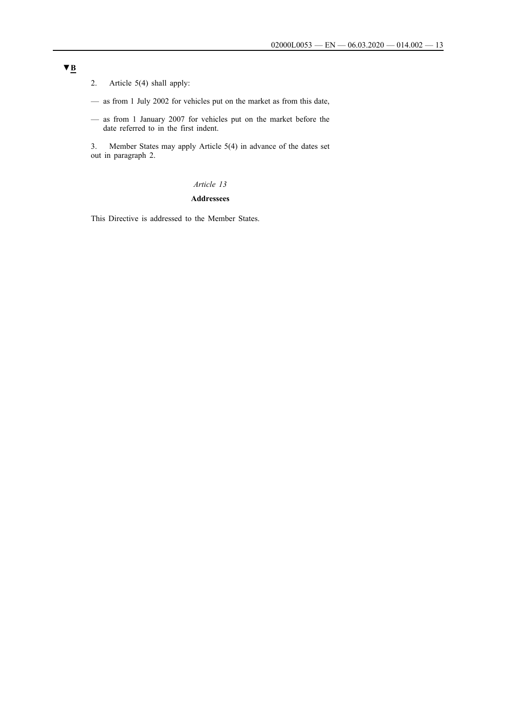2. Article 5(4) shall apply:

- as from 1 July 2002 for vehicles put on the market as from this date,
- as from 1 January 2007 for vehicles put on the market before the date referred to in the first indent.

3. Member States may apply Article 5(4) in advance of the dates set out in paragraph 2.

## *Article 13*

### **Addressees**

This Directive is addressed to the Member States.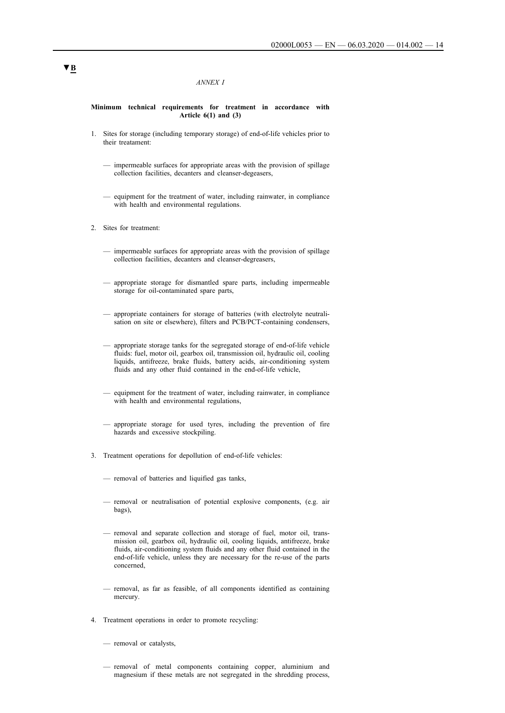#### *ANNEX I*

#### **Minimum technical requirements for treatment in accordance with Article 6(1) and (3)**

- 1. Sites for storage (including temporary storage) of end-of-life vehicles prior to their treatament:
	- impermeable surfaces for appropriate areas with the provision of spillage collection facilities, decanters and cleanser-degeasers,
	- equipment for the treatment of water, including rainwater, in compliance with health and environmental regulations.
- 2. Sites for treatment:
	- impermeable surfaces for appropriate areas with the provision of spillage collection facilities, decanters and cleanser-degreasers,
	- appropriate storage for dismantled spare parts, including impermeable storage for oil-contaminated spare parts,
	- appropriate containers for storage of batteries (with electrolyte neutralisation on site or elsewhere), filters and PCB/PCT-containing condensers,
	- appropriate storage tanks for the segregated storage of end-of-life vehicle fluids: fuel, motor oil, gearbox oil, transmission oil, hydraulic oil, cooling liquids, antifreeze, brake fluids, battery acids, air-conditioning system fluids and any other fluid contained in the end-of-life vehicle,
	- equipment for the treatment of water, including rainwater, in compliance with health and environmental regulations,
	- appropriate storage for used tyres, including the prevention of fire hazards and excessive stockpiling.
- 3. Treatment operations for depollution of end-of-life vehicles:
	- removal of batteries and liquified gas tanks,
	- removal or neutralisation of potential explosive components, (e.g. air bags),
	- removal and separate collection and storage of fuel, motor oil, transmission oil, gearbox oil, hydraulic oil, cooling liquids, antifreeze, brake fluids, air-conditioning system fluids and any other fluid contained in the end-of-life vehicle, unless they are necessary for the re-use of the parts concerned,
	- removal, as far as feasible, of all components identified as containing mercury.
- 4. Treatment operations in order to promote recycling:
	- removal or catalysts,
	- removal of metal components containing copper, aluminium and magnesium if these metals are not segregated in the shredding process,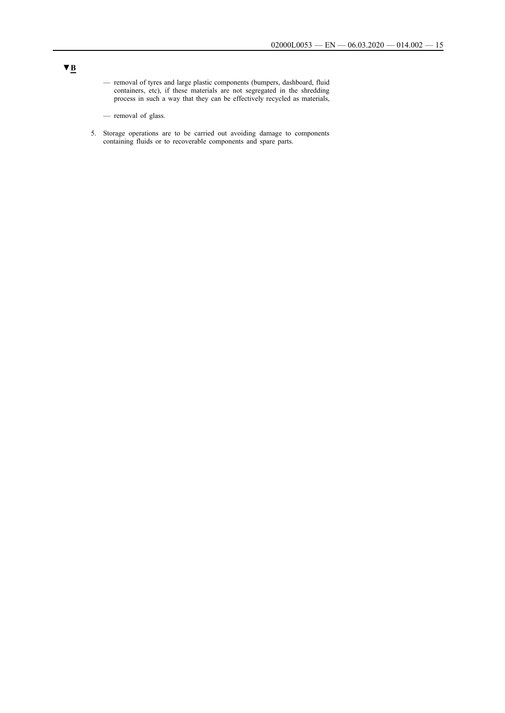- removal of tyres and large plastic components (bumpers, dashboard, fluid containers, etc), if these materials are not segregated in the shredding process in such a way that they can be effectively recycled as materials,
- removal of glass.
- 5. Storage operations are to be carried out avoiding damage to components containing fluids or to recoverable components and spare parts.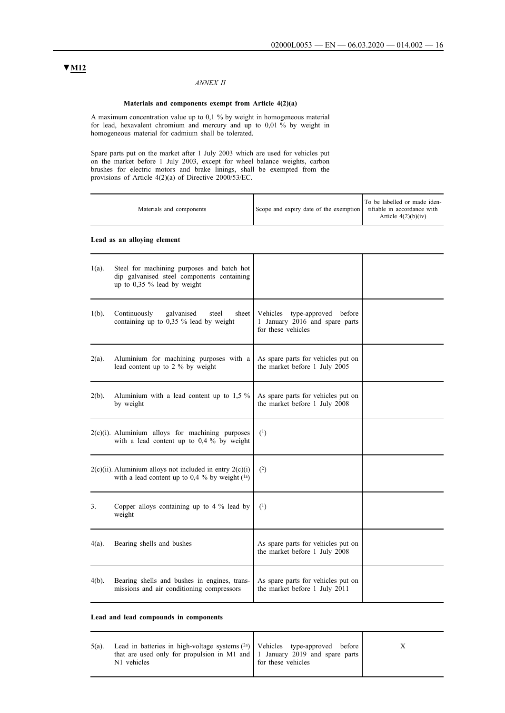## *ANNEX II*

### **Materials and components exempt from Article 4(2)(a)**

A maximum concentration value up to 0,1 % by weight in homogeneous material for lead, hexavalent chromium and mercury and up to 0,01 % by weight in homogeneous material for cadmium shall be tolerated.

Spare parts put on the market after 1 July 2003 which are used for vehicles put on the market before 1 July 2003, except for wheel balance weights, carbon brushes for electric motors and brake linings, shall be exempted from the provisions of Article 4(2)(a) of Directive 2000/53/EC.

|          | Materials and components                                                                                                | Scope and expiry date of the exemption                                                | To be labelled or made iden-<br>tifiable in accordance with<br>Article $4(2)(b)(iv)$ |
|----------|-------------------------------------------------------------------------------------------------------------------------|---------------------------------------------------------------------------------------|--------------------------------------------------------------------------------------|
|          | Lead as an alloying element                                                                                             |                                                                                       |                                                                                      |
| $1(a)$ . | Steel for machining purposes and batch hot<br>dip galvanised steel components containing<br>up to 0,35 % lead by weight |                                                                                       |                                                                                      |
| $1(b)$ . | Continuously<br>galvanised<br>steel<br>sheet<br>containing up to $0.35 \%$ lead by weight                               | Vehicles type-approved before<br>1 January 2016 and spare parts<br>for these vehicles |                                                                                      |
| $2(a)$ . | Aluminium for machining purposes with a<br>lead content up to 2 % by weight                                             | As spare parts for vehicles put on<br>the market before 1 July 2005                   |                                                                                      |
| $2(b)$ . | Aluminium with a lead content up to $1,5\%$<br>by weight                                                                | As spare parts for vehicles put on<br>the market before 1 July 2008                   |                                                                                      |
|          | $2(c)(i)$ . Aluminium alloys for machining purposes<br>with a lead content up to 0,4 % by weight                        | (1)                                                                                   |                                                                                      |
|          | $2(c)(ii)$ . Aluminium alloys not included in entry $2(c)(i)$<br>with a lead content up to 0,4 % by weight $(^{1a})$    | (2)                                                                                   |                                                                                      |
| 3.       | Copper alloys containing up to $4\%$ lead by<br>weight                                                                  | (1)                                                                                   |                                                                                      |
| 4(a).    | Bearing shells and bushes                                                                                               | As spare parts for vehicles put on<br>the market before 1 July 2008                   |                                                                                      |
| 4(b).    | Bearing shells and bushes in engines, trans-<br>missions and air conditioning compressors                               | As spare parts for vehicles put on<br>the market before 1 July 2011                   |                                                                                      |

#### **Lead and lead compounds in components**

| $5(a)$ . | Lead in batteries in high-voltage systems $(2a)$ Vehicles type-approved before<br>that are used only for propulsion in M1 and $\vert$ 1 January 2019 and spare parts $\vert$<br>N1 vehicles | for these vehicles |  |
|----------|---------------------------------------------------------------------------------------------------------------------------------------------------------------------------------------------|--------------------|--|
|          |                                                                                                                                                                                             |                    |  |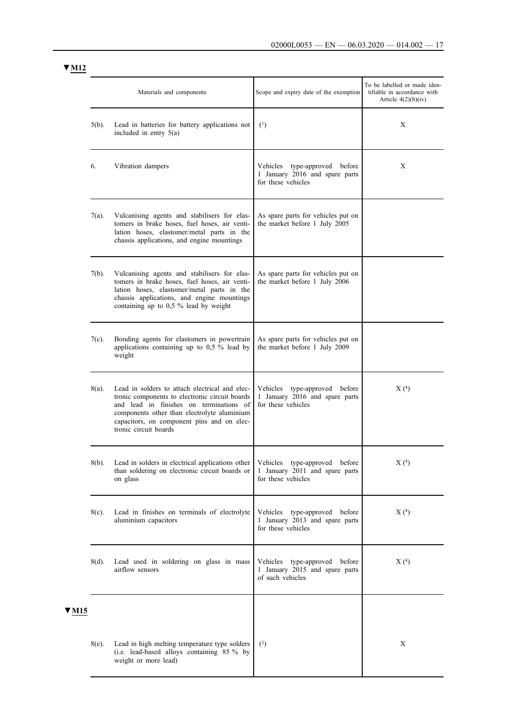|              |          | Materials and components                                                                                                                                                                                                                                          | Scope and expiry date of the exemption                                                   | To be labelled or made iden-<br>tifiable in accordance with<br>Article $4(2)(b)(iv)$ |
|--------------|----------|-------------------------------------------------------------------------------------------------------------------------------------------------------------------------------------------------------------------------------------------------------------------|------------------------------------------------------------------------------------------|--------------------------------------------------------------------------------------|
|              | $5(b)$ . | Lead in batteries for battery applications not<br>included in entry $5(a)$                                                                                                                                                                                        | $\binom{1}{ }$                                                                           | X                                                                                    |
|              | 6.       | Vibration dampers                                                                                                                                                                                                                                                 | type-approved before<br>Vehicles<br>1 January 2016 and spare parts<br>for these vehicles | X                                                                                    |
|              | $7(a)$ . | Vulcanising agents and stabilisers for elas-<br>tomers in brake hoses, fuel hoses, air venti-<br>lation hoses, elastomer/metal parts in the<br>chassis applications, and engine mountings                                                                         | As spare parts for vehicles put on<br>the market before 1 July 2005                      |                                                                                      |
|              | $7(b)$ . | Vulcanising agents and stabilisers for elas-<br>tomers in brake hoses, fuel hoses, air venti-<br>lation hoses, elastomer/metal parts in the<br>chassis applications, and engine mountings<br>containing up to 0,5 % lead by weight                                | As spare parts for vehicles put on<br>the market before 1 July 2006                      |                                                                                      |
|              | $7(c)$ . | Bonding agents for elastomers in powertrain<br>applications containing up to $0.5$ % lead by<br>weight                                                                                                                                                            | As spare parts for vehicles put on<br>the market before 1 July 2009                      |                                                                                      |
|              | 8(a).    | Lead in solders to attach electrical and elec-<br>tronic components to electronic circuit boards<br>and lead in finishes on terminations of<br>components other than electrolyte aluminium<br>capacitors, on component pins and on elec-<br>tronic circuit boards | type-approved before<br>Vehicles<br>1 January 2016 and spare parts<br>for these vehicles | X(4)                                                                                 |
|              | $8(b)$ . | Lead in solders in electrical applications other<br>than soldering on electronic circuit boards or<br>on glass                                                                                                                                                    | Vehicles type-approved before<br>1 January 2011 and spare parts<br>for these vehicles    | X(4)                                                                                 |
|              | $8(c)$ . | Lead in finishes on terminals of electrolyte<br>aluminium capacitors                                                                                                                                                                                              | Vehicles type-approved before<br>1 January 2013 and spare parts<br>for these vehicles    | X(4)                                                                                 |
|              | 8(d).    | Lead used in soldering on glass in mass<br>airflow sensors                                                                                                                                                                                                        | Vehicles type-approved before<br>1 January 2015 and spare parts<br>of such vehicles      | X(4)                                                                                 |
| ▼ <u>M15</u> |          |                                                                                                                                                                                                                                                                   |                                                                                          |                                                                                      |
|              | $8(e)$ . | Lead in high melting temperature type solders<br>(i.e. lead-based alloys containing 85 % by<br>weight or more lead)                                                                                                                                               | $^{(2)}$                                                                                 | X                                                                                    |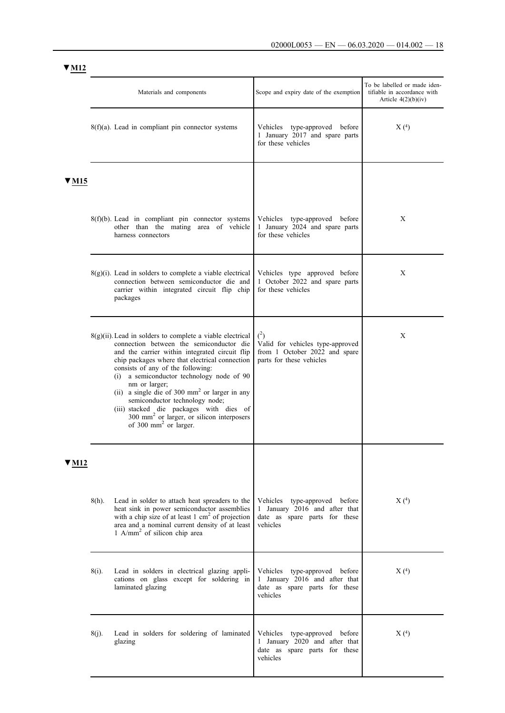|       |          | Materials and components                                                                                                                                                                                                                                                                                                                                                                                                                                                                                                                                | Scope and expiry date of the exemption                                                                      | To be labelled or made iden-<br>tifiable in accordance with<br>Article $4(2)(b)(iv)$ |
|-------|----------|---------------------------------------------------------------------------------------------------------------------------------------------------------------------------------------------------------------------------------------------------------------------------------------------------------------------------------------------------------------------------------------------------------------------------------------------------------------------------------------------------------------------------------------------------------|-------------------------------------------------------------------------------------------------------------|--------------------------------------------------------------------------------------|
|       |          | $8(f)(a)$ . Lead in compliant pin connector systems                                                                                                                                                                                                                                                                                                                                                                                                                                                                                                     | Vehicles type-approved before<br>1 January 2017 and spare parts<br>for these vehicles                       | X(4)                                                                                 |
| ′ M15 |          |                                                                                                                                                                                                                                                                                                                                                                                                                                                                                                                                                         |                                                                                                             |                                                                                      |
|       |          | $8(f)(b)$ . Lead in compliant pin connector systems<br>other than the mating area of vehicle<br>harness connectors                                                                                                                                                                                                                                                                                                                                                                                                                                      | Vehicles type-approved before<br>1 January 2024 and spare parts<br>for these vehicles                       | X                                                                                    |
|       |          | $8(g)(i)$ . Lead in solders to complete a viable electrical<br>connection between semiconductor die and<br>carrier within integrated circuit flip chip<br>packages                                                                                                                                                                                                                                                                                                                                                                                      | Vehicles type approved before<br>1 October 2022 and spare parts<br>for these vehicles                       | X                                                                                    |
|       |          | $8(g)(ii)$ . Lead in solders to complete a viable electrical<br>connection between the semiconductor die<br>and the carrier within integrated circuit flip<br>chip packages where that electrical connection<br>consists of any of the following:<br>(i) a semiconductor technology node of 90<br>nm or larger;<br>(ii) a single die of 300 mm <sup>2</sup> or larger in any<br>semiconductor technology node;<br>(iii) stacked die packages with dies of<br>300 mm <sup>2</sup> or larger, or silicon interposers<br>of 300 mm <sup>2</sup> or larger. | $^{(2)}$<br>Valid for vehicles type-approved<br>from 1 October 2022 and spare<br>parts for these vehicles   | X                                                                                    |
| ' M12 |          |                                                                                                                                                                                                                                                                                                                                                                                                                                                                                                                                                         |                                                                                                             |                                                                                      |
|       | 8(h).    | Lead in solder to attach heat spreaders to the<br>heat sink in power semiconductor assemblies<br>with a chip size of at least $1 \text{ cm}^2$ of projection<br>area and a nominal current density of at least<br>1 A/mm <sup>2</sup> of silicon chip area                                                                                                                                                                                                                                                                                              | Vehicles type-approved before<br>1 January 2016 and after that<br>date as spare parts for these<br>vehicles | X(4)                                                                                 |
|       | 8(i).    | Lead in solders in electrical glazing appli-<br>cations on glass except for soldering in<br>laminated glazing                                                                                                                                                                                                                                                                                                                                                                                                                                           | Vehicles type-approved before<br>1 January 2016 and after that<br>date as spare parts for these<br>vehicles | X(4)                                                                                 |
|       | $8(i)$ . | Lead in solders for soldering of laminated<br>glazing                                                                                                                                                                                                                                                                                                                                                                                                                                                                                                   | Vehicles type-approved before<br>1 January 2020 and after that<br>date as spare parts for these<br>vehicles | X(4)                                                                                 |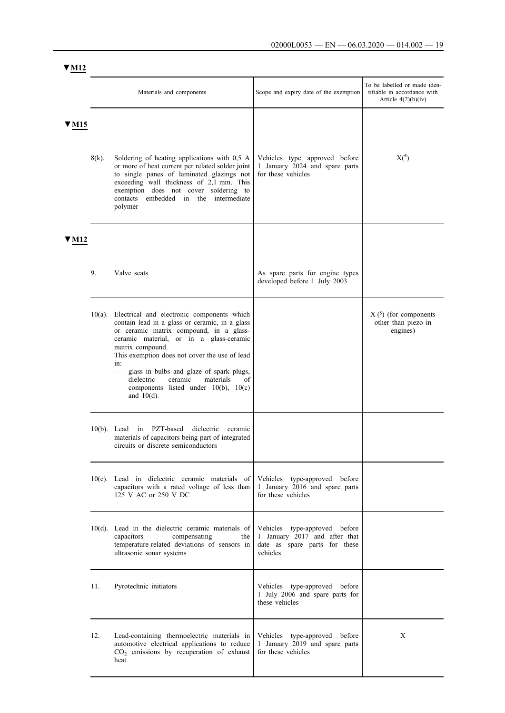|                          |                | Materials and components                                                                                                                                                                                                                                                                                                                                                                                                  | Scope and expiry date of the exemption                                                                      | To be labelled or made iden-<br>tifiable in accordance with<br>Article $4(2)(b)(iv)$ |
|--------------------------|----------------|---------------------------------------------------------------------------------------------------------------------------------------------------------------------------------------------------------------------------------------------------------------------------------------------------------------------------------------------------------------------------------------------------------------------------|-------------------------------------------------------------------------------------------------------------|--------------------------------------------------------------------------------------|
| $\blacktriangledown$ M15 | $8(k)$ .       | Soldering of heating applications with 0,5 A<br>or more of heat current per related solder joint<br>to single panes of laminated glazings not<br>exceeding wall thickness of 2,1 mm. This<br>exemption does not cover soldering to<br>contacts<br>embedded in the intermediate<br>polymer                                                                                                                                 | Vehicles type approved before<br>1 January 2024 and spare parts<br>for these vehicles                       | X <sup>4</sup>                                                                       |
| 7 M 12                   |                |                                                                                                                                                                                                                                                                                                                                                                                                                           |                                                                                                             |                                                                                      |
|                          | 9.             | Valve seats                                                                                                                                                                                                                                                                                                                                                                                                               | As spare parts for engine types<br>developed before 1 July 2003                                             |                                                                                      |
|                          |                | $10(a)$ . Electrical and electronic components which<br>contain lead in a glass or ceramic, in a glass<br>or ceramic matrix compound, in a glass-<br>ceramic material, or in a glass-ceramic<br>matrix compound.<br>This exemption does not cover the use of lead<br>in:<br>glass in bulbs and glaze of spark plugs,<br>dielectric<br>ceramic<br>materials<br>of<br>components listed under 10(b), 10(c)<br>and $10(d)$ . |                                                                                                             | $X(5)$ (for components<br>other than piezo in<br>engines)                            |
|                          | $10(b)$ . Lead | PZT-based<br>dielectric<br>in<br>ceramic<br>materials of capacitors being part of integrated<br>circuits or discrete semiconductors                                                                                                                                                                                                                                                                                       |                                                                                                             |                                                                                      |
|                          |                | $10(c)$ . Lead in dielectric ceramic materials of<br>capacitors with a rated voltage of less than<br>125 V AC or 250 V DC                                                                                                                                                                                                                                                                                                 | Vehicles type-approved before<br>1 January 2016 and spare parts<br>for these vehicles                       |                                                                                      |
|                          |                | $10(d)$ . Lead in the dielectric ceramic materials of<br>capacitors<br>compensating<br>the<br>temperature-related deviations of sensors in<br>ultrasonic sonar systems                                                                                                                                                                                                                                                    | Vehicles type-approved before<br>1 January 2017 and after that<br>date as spare parts for these<br>vehicles |                                                                                      |
|                          | 11.            | Pyrotechnic initiators                                                                                                                                                                                                                                                                                                                                                                                                    | Vehicles type-approved before<br>1 July 2006 and spare parts for<br>these vehicles                          |                                                                                      |
|                          | 12.            | Lead-containing thermoelectric materials in<br>automotive electrical applications to reduce<br>CO <sub>2</sub> emissions by recuperation of exhaust<br>heat                                                                                                                                                                                                                                                               | Vehicles type-approved before<br>1 January 2019 and spare parts<br>for these vehicles                       | Χ                                                                                    |